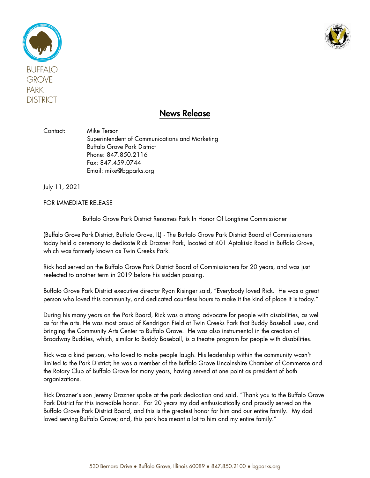



## News Release

Contact: Mike Terson Superintendent of Communications and Marketing Buffalo Grove Park District Phone: 847.850.2116 Fax: 847.459.0744 Email: mike@bgparks.org

July 11, 2021

FOR IMMEDIATE RELEASE

Buffalo Grove Park District Renames Park In Honor Of Longtime Commissioner

(Buffalo Grove Park District, Buffalo Grove, IL) - The Buffalo Grove Park District Board of Commissioners today held a ceremony to dedicate Rick Drazner Park, located at 401 Aptakisic Road in Buffalo Grove, which was formerly known as Twin Creeks Park.

Rick had served on the Buffalo Grove Park District Board of Commissioners for 20 years, and was just reelected to another term in 2019 before his sudden passing.

Buffalo Grove Park District executive director Ryan Risinger said, "Everybody loved Rick. He was a great person who loved this community, and dedicated countless hours to make it the kind of place it is today."

During his many years on the Park Board, Rick was a strong advocate for people with disabilities, as well as for the arts. He was most proud of Kendrigan Field at Twin Creeks Park that Buddy Baseball uses, and bringing the Community Arts Center to Buffalo Grove. He was also instrumental in the creation of Broadway Buddies, which, similar to Buddy Baseball, is a theatre program for people with disabilities.

Rick was a kind person, who loved to make people laugh. His leadership within the community wasn't limited to the Park District; he was a member of the Buffalo Grove Lincolnshire Chamber of Commerce and the Rotary Club of Buffalo Grove for many years, having served at one point as president of both organizations.

Rick Drazner's son Jeremy Drazner spoke at the park dedication and said, "Thank you to the Buffalo Grove Park District for this incredible honor. For 20 years my dad enthusiastically and proudly served on the Buffalo Grove Park District Board, and this is the greatest honor for him and our entire family. My dad loved serving Buffalo Grove; and, this park has meant a lot to him and my entire family."